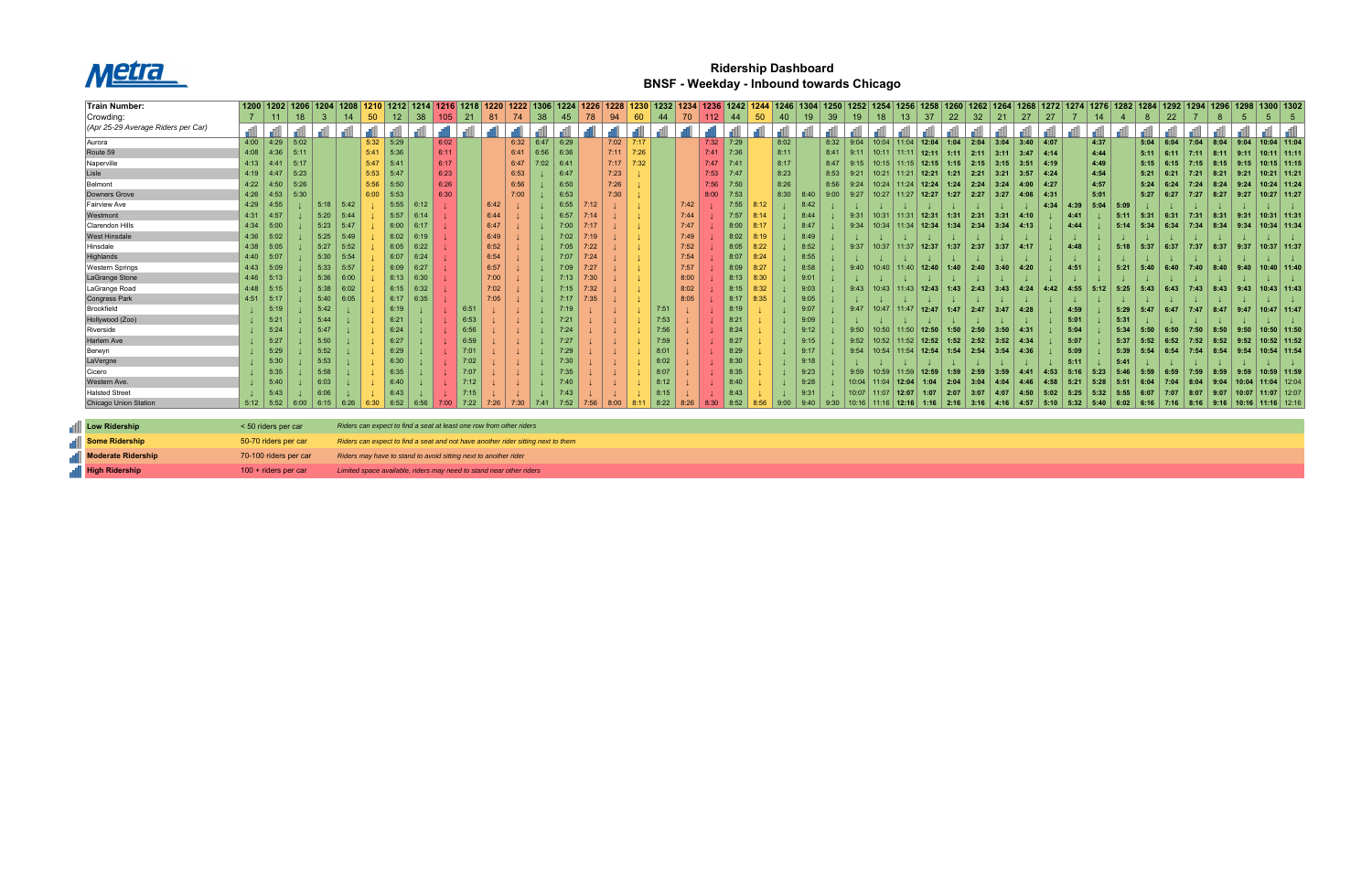

## **Ridership Dashboard BNSF - Weekday - Inbound towards Chicago**

| Train Number:                      | 1200   1202   1206   1204 |      |      |      |      | 1208 |      |                 | 1212   1214                                                                      |      | 1216   1218 |      | 1220 | 1222 | 1306 | 1224 | 1226 | 1228 |      |      | 1232 | 1234 | 1236   1242 |              | 1244  | 1246 | 1304 | 1250 | 1252  | 1254  | 1256                    | 1258  | 1260 | 1262         | 1264 | 1268   | 1272    |      |      | 12821 | 1284 | 1292 | 1294 |      | 1298  |                              | 1300 1302       |
|------------------------------------|---------------------------|------|------|------|------|------|------|-----------------|----------------------------------------------------------------------------------|------|-------------|------|------|------|------|------|------|------|------|------|------|------|-------------|--------------|-------|------|------|------|-------|-------|-------------------------|-------|------|--------------|------|--------|---------|------|------|-------|------|------|------|------|-------|------------------------------|-----------------|
| Crowding:                          |                           |      | 18   | -3   |      | 14   | 50   | 12 <sup>2</sup> | 38                                                                               | 105  |             |      |      |      | 38   | 45   | 78   | 94   | 60   | 44   |      | 70   |             |              | 50    | 40   | 19   | 39   | 19    | 18    | 13                      | 37    | 22   | 32           | 21   | 27     | 27      |      | 14   |       | 8    | 22   |      | 8    |       |                              |                 |
| (Apr 25-29 Average Riders per Car) |                           |      |      |      |      |      |      |                 |                                                                                  |      |             |      |      |      |      |      |      |      |      |      |      |      |             |              |       |      |      |      |       |       |                         |       |      |              |      |        |         |      |      |       |      |      |      |      |       |                              |                 |
| Aurora                             | 4:00                      | 4:29 | 5:02 |      |      |      | 5:32 | 5:29            |                                                                                  | 6:02 |             |      |      | 6:32 | 6:47 | 6:29 |      | 7:02 | 7:17 |      |      |      | 7:32        | $\vert$ 7:29 |       | 8:02 |      | 8:32 | 9:04  | 10:04 | 11:04                   | 12:04 | 1:04 | 2:04         | 3:04 | 3:40   | 4:07    |      | 4:37 |       | 5:04 | 6:04 | 7:04 | 8:04 | 9:04  |                              | $10:04$ 11:04   |
| Route 59                           | 4:08                      | 4:36 | 5:11 |      |      |      | 5:41 | 5:36            |                                                                                  | 6:11 |             |      |      | 6:41 | 6:56 | 6:36 |      | 7:11 | 7:26 |      |      |      | 7:41        | 7:36         |       | 8:11 |      | 8:41 | 9:11  | 10:11 | 11:11                   | 12:11 | 1:11 | 2:11         | 3:11 | 3:47   | $-4:14$ |      | 4:44 |       | 5:11 | 6:11 | 7:11 | 8:11 | 9:11  |                              | $10:11$ 11:11   |
| Naperville                         | 4:13                      | 4:41 | 5:17 |      |      |      | 5:47 | 15:41           |                                                                                  | 6:17 |             |      |      | 6:47 | 7:02 | 6:41 |      | 7:17 | 7:32 |      |      |      | 7:47        | 7:41         |       | 8:17 |      | 8:47 | 9:15  | 10:15 | 11:15                   | 12:15 | 1:15 | 2:15         |      | 3:51   | $-4:19$ |      | 4:49 |       | 5:15 | 6:15 | 7:15 | 8:15 | 9:15  |                              | $10:15$ 11:15   |
| Lisle                              | 4:19                      | 4:47 | 5:23 |      |      |      | 5:53 | 5:47            |                                                                                  | 6:23 |             |      |      | 6:53 |      | 6:47 |      | 7:23 |      |      |      |      | 7:53        | 7:47         |       | 8:23 |      | 8:53 | 9:21  | 10:21 | 11:21                   | 12:21 | 1:21 | 2:21         | 3:21 | 3:57   | 4:24    |      | 4:54 |       | 5:21 | 6:21 | 7:21 | 8:21 | 9:21  |                              | $10:21$ 11:21   |
| Belmont                            | 4:22                      | 4:50 | 5:26 |      |      |      | 5:56 | 5:50            |                                                                                  | 6:26 |             |      |      | 6:56 |      | 6:50 |      | 7:26 |      |      |      |      | 7:56        | 7:50         |       | 8:26 |      | 8:56 | 9:24  | 10:24 | 11:24                   | 12:24 | 1:24 | 2:24         | 3:24 | 4:00   | 4:27    |      | 4:57 |       | 5:24 | 6:24 | 7:24 | 8:24 | 9:24  |                              | $10:24$ 11:24   |
| Downers Grove                      | 4:26                      | 4:53 | 5:30 |      |      |      | 6:00 | 5:53            |                                                                                  | 6:30 |             |      |      | 7:00 |      | 6:53 |      | 7:30 |      |      |      |      | 8:00        | 7:53         |       | 8:30 | 8:40 | 9:00 | 9:27  | 10:27 | 11:27                   | 12:27 | 1:27 | $\vert$ 2:27 | 3:27 | 4:06   | 4:31    |      | 5:01 |       | 5:27 | 6:27 | 7:27 | 8:27 | 9:27  |                              | $10:27$ 11:27   |
| <b>Fairview Ave</b>                | 4:29                      | 4:55 |      |      | 5:18 | 5:42 |      | 5:55            | 6:12                                                                             |      |             |      | 6:42 |      |      | 6:55 | 7:12 |      |      |      |      | 7:42 |             | 7:55         | 8.12  |      | 8:42 |      |       |       |                         |       |      |              |      |        | 4:34    | 4:39 | 5:04 | 5:0   |      |      |      |      |       |                              |                 |
| Westmont                           | 4:31                      | 4:57 |      |      | 5:20 | 5:44 |      | 5:57            | 6:14                                                                             |      |             |      | 6:44 |      |      | 6:57 |      |      |      |      |      | 7:44 |             | 7:57         |       |      | 8:44 |      | 9:31  | 10:31 | 11:31                   | 12:31 | 1:31 | 2:31         | 3:31 | 4:10   |         | 4:41 |      | 5:11  | 5:31 | 6:31 | 7:31 | 8:31 | 9:31  |                              | $10:31$   11:31 |
| Clarendon Hills                    | 4:34                      | 5:00 |      |      | 5:23 | 5:47 |      | 6:00            | 6:17                                                                             |      |             |      | 6:47 |      |      | 7:00 | 7.17 |      |      |      |      | 7:47 |             | 8:00         |       |      | 8:47 |      | 9:34  | 10:34 | 11:34                   | 12:34 | 1:34 | 2:34         |      | 4:13   |         | 4:44 |      | 5:14  | 5:34 | 6:34 | 7:34 | 8:34 | 9:34  |                              | $10:34$   11:34 |
| <b>West Hinsdale</b>               | 4:36                      | 5:02 |      |      | 5:25 | 5:49 |      | 6:02            | 6:19                                                                             |      |             |      | 6:49 |      |      | 7:02 | 7.19 |      |      |      |      | 7:49 |             | 8:02         |       |      | 8:49 |      |       |       |                         |       |      |              |      |        |         |      |      |       |      |      |      |      |       |                              |                 |
| Hinsdale                           | 4:38                      | 5:05 |      | 5:27 |      | 5:52 |      | 6:05            | 6:22                                                                             |      |             |      | 6:52 |      |      | 7:05 | 7:22 |      |      |      |      | 7:52 |             | 8:05         | 8:22  |      | 8:52 |      | 9:37  |       | $10:37$   11:37   12:37 |       | 1:37 | 2:37         | 3:37 | 4:17   |         | 4:48 |      | 5:18  | 5:37 | 6:37 | 7:37 | 8:37 | 9:37  |                              | $10:37$ 11:37   |
| Highlands                          | 4:40                      | 5:07 |      | 5:30 |      | 5:54 |      | 6:07            | 6:24                                                                             |      |             |      | 6:54 |      |      | 7:07 | 7:24 |      |      |      |      | 7:54 |             | 8:07         |       |      | 8:55 |      |       |       |                         |       |      |              |      |        |         |      |      |       |      |      |      |      |       |                              |                 |
| <b>Western Springs</b>             | 4:43                      | 5:09 |      |      | 5:33 | 5:57 |      | 6:09            | 6:27                                                                             |      |             |      | 6:57 |      |      | 7:09 | 7:27 |      |      |      |      | 7:57 |             | 8:09         |       |      | 8:58 |      | 9:40  |       | $10:40$ 11:40 12:40     |       | 1:40 | 2:40         | 3:40 | 4:20   |         | 4:51 |      | 5:21  | 5:40 | 6:40 | 7:40 | 8:40 | 9:40  |                              | $10:40$   11:40 |
| LaGrange Stone                     | 4:46                      | 5:13 |      |      | 5:36 | 6:00 |      | 6:13            | 6:30                                                                             |      |             |      | 7:00 |      |      | 7:13 | 7:30 |      |      |      |      | 8:00 |             | 8:13         | 8:30  |      | 9:01 |      |       |       |                         |       |      |              |      |        |         |      |      |       |      |      |      |      |       |                              |                 |
| LaGrange Road                      | 4:48                      | 5:15 |      | 5:38 |      | 6:02 |      | 6:15            | 6:32                                                                             |      |             |      | 7:02 |      |      | 7:15 | 7:32 |      |      |      |      | 8:02 |             | 8:15         | 3:32  |      | 9:03 |      | 9:43  |       | $10:43$   11:43   12:43 |       | 1:43 | 2:43         | 3:43 | 4:24   | 4:42    | 4:55 | 5:12 | 5:25  | 5:43 | 6:43 | 7:43 | 8:43 | 9:43  |                              | $10:43$ 11:43   |
| Congress Park                      | 4:51                      | 5:17 |      | 5:40 |      |      |      | 6:17            | 6:35                                                                             |      |             |      | 7:05 |      |      | 7:17 | 7:35 |      |      |      |      | 8:05 |             | 8:17         | $-35$ |      | 9:05 |      |       |       |                         |       |      |              |      |        |         |      |      |       |      |      |      |      |       |                              |                 |
| Brookfield                         |                           | 5:19 |      | 5:42 |      |      |      | 6:19            |                                                                                  |      |             | 6:5' |      |      |      |      |      |      |      | 7:51 |      |      |             |              |       |      | 9:07 |      | 9:47  |       | $10:47$   11:47   12:47 |       | 1:47 | 2:47         | 3:47 | 4:28   |         | 4:59 |      | 5:29  | 5:47 | 6:47 | 7:47 | 8:47 | 9:47  |                              | $10:47$   11:47 |
| Hollywood (Zoo)                    |                           | 5:21 |      | 5:44 |      |      |      | 6:21            |                                                                                  |      |             | 6:53 |      |      |      | 7:21 |      |      |      | 7:53 |      |      |             | 8:21         |       |      | 9:09 |      |       |       |                         |       |      |              |      |        |         | 5:01 |      | 5:31  |      |      |      |      |       |                              |                 |
| Riverside                          |                           | 5:24 |      | 5:47 |      |      |      | 6:24            |                                                                                  |      |             | 6:56 |      |      |      | 7:24 |      |      |      | 7:56 |      |      |             | 8:24         |       |      | 9:12 |      | 9:50  |       | $10:50$   11:50   12:50 |       | 1:50 | 2:50         | 3:50 | - 4:31 |         | 5:04 |      | 5:34  | 5:50 | 6:50 | 7:50 | 8:50 | 9:50  |                              | $10:50$ 11:50   |
| Harlem Ave                         |                           | 5:27 |      | 5:50 |      |      |      | 6:27            |                                                                                  |      |             | 6:59 |      |      |      | 7:27 |      |      |      | 7:59 |      |      |             | 8:27         |       |      | 9:15 |      | 9:52  |       | $10:52$ 11:52           | 12:52 | 1:52 | 2:52         | 3:52 | 4:34   |         | 5:07 |      | 5:37  | 5:52 | 6:52 | 7:52 | 8:52 | 9:52  |                              | $10:52$ 11:52   |
| Berwyn                             |                           | 5:29 |      | 5:52 |      |      |      | 6:29            |                                                                                  |      |             | 7:01 |      |      |      | 7:29 |      |      |      | 8:01 |      |      |             | 8:29         |       |      | 9:17 |      | 9:54  |       | $10:54$ 11:54 12:54     |       | 1:54 | 2:54         |      | 4:36   |         | 5:09 |      | 5:39  | 5:54 | 6:54 | 7:54 | 8:54 | 9:54  |                              | $10:54$ 11:54   |
| LaVergne                           |                           | 5:30 |      | 5:53 |      |      |      | 6:30            |                                                                                  |      |             | 7:02 |      |      |      | 7:30 |      |      |      | 8:02 |      |      |             | 8:30         |       |      | 9:18 |      |       |       |                         |       |      |              |      |        |         | 5:11 |      | 5:41  |      |      |      |      |       |                              |                 |
| Cicero                             |                           | 5:35 |      | 5:58 |      |      |      | 6:35            |                                                                                  |      |             | 7:07 |      |      |      | 7:35 |      |      |      | 8:07 |      |      |             | 8:35         |       |      | 9:23 |      | 9:59  |       | $10:59$   11:59         | 12:59 | 1:59 | 2:59         |      | 4:41   | 4:53    | 5:16 | 5:23 | 5:46  | 5:59 | 6:59 | 7:59 | 8:59 | 9:59  |                              | $10:59$   11:59 |
| <b>Western Ave.</b>                |                           | 5:40 |      | 6:03 |      |      |      | 6:40            |                                                                                  |      |             | 7:12 |      |      |      | 7:40 |      |      |      | 8:12 |      |      |             | 8:40         |       |      | 9:28 |      | 10:04 |       | $11:04$   12:04         | 1:04  | 2:04 | 3:04         |      |        | 4:58    | 5:21 | 5:28 | 5:51  | 6:04 | 7:04 | 8:04 |      | 10:04 |                              | 11:04   12:04   |
| <b>Halsted Street</b>              |                           | 5:43 |      | 6:06 |      |      |      | 6:43            |                                                                                  |      |             |      |      |      |      |      |      |      |      |      |      |      |             |              |       |      | 9:31 |      | 10:07 | 11:07 | $12:07$                 | 1:07  | 2:07 | 3:07         |      |        | 5:02    | 5:25 | 5:32 | 5:55  | 6:07 | 7:07 | 8:07 | 9:07 | 10:07 |                              | $11:07$ 12:07   |
| <b>Chicago Union Station</b>       | $5:12$ 5:52               |      | 6:00 | 6:15 |      | 6:26 | 6:30 | 6:52            |                                                                                  |      |             | 7:22 | 7:26 |      |      | 7:52 |      |      |      | 8:22 |      |      |             | 8:52         |       | 9:00 | 9:40 | 9:30 | 10:16 | 11:16 | 12:16                   | 1:16  | 2:16 | 3:16         | 4:16 | 4:57   | 5:10    | 5:32 | 5:40 | 6:02  | 6:16 | 7:16 | 8:16 |      |       | 9:16   10:16   11:16   12:16 |                 |
|                                    |                           |      |      |      |      |      |      |                 |                                                                                  |      |             |      |      |      |      |      |      |      |      |      |      |      |             |              |       |      |      |      |       |       |                         |       |      |              |      |        |         |      |      |       |      |      |      |      |       |                              |                 |
| <b>IN Low Ridership</b>            | < 50 riders per car       |      |      |      |      |      |      |                 | Riders can expect to find a seat at least one row from other riders              |      |             |      |      |      |      |      |      |      |      |      |      |      |             |              |       |      |      |      |       |       |                         |       |      |              |      |        |         |      |      |       |      |      |      |      |       |                              |                 |
| <b>Nome Ridership</b>              | 50-70 riders per car      |      |      |      |      |      |      |                 | Riders can expect to find a seat and not have another rider sitting next to them |      |             |      |      |      |      |      |      |      |      |      |      |      |             |              |       |      |      |      |       |       |                         |       |      |              |      |        |         |      |      |       |      |      |      |      |       |                              |                 |
| Moderate Ridership                 | 70-100 riders per car     |      |      |      |      |      |      |                 | Riders may have to stand to avoid sitting next to another rider                  |      |             |      |      |      |      |      |      |      |      |      |      |      |             |              |       |      |      |      |       |       |                         |       |      |              |      |        |         |      |      |       |      |      |      |      |       |                              |                 |
| <b>High Ridership</b>              | 100 + riders per car      |      |      |      |      |      |      |                 | Limited space available, riders may need to stand near other riders              |      |             |      |      |      |      |      |      |      |      |      |      |      |             |              |       |      |      |      |       |       |                         |       |      |              |      |        |         |      |      |       |      |      |      |      |       |                              |                 |